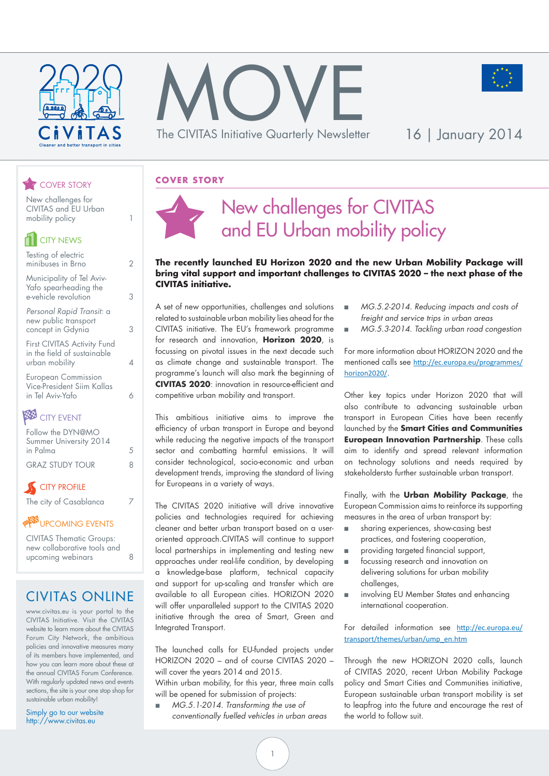





#### **COVER STORY**

#### New challenges for CIVITAS and EU Urban mobility policy 1

COVER STORY

| <b>CITY NEWS</b>                                                             |   |
|------------------------------------------------------------------------------|---|
| Testing of electric<br>minibuses in Brno                                     |   |
| Municipality of Tel Aviv-<br>Yafo spearheading the<br>e-vehicle revolution   | 3 |
| Personal Rapid Transit: a<br>new public transport<br>concept in Gdynia       | 3 |
| First CIVITAS Activity Fund<br>in the field of sustainable<br>urban mobility |   |
| <b>European Commission</b><br>Vice-President Siim Kallas<br>in Tel Aviv-Yafo | 6 |
| a a mar ama                                                                  |   |

#### **BBB** CITY EVENT

| Follow the DYN@MO                  |   |
|------------------------------------|---|
| Summer University 2014             |   |
| in Palma                           | 5 |
| <b>GRAZ STUDY TOUR</b>             | 8 |
| $\alpha$ $\alpha$ $\alpha$ $\beta$ |   |

#### **CITY PROFILE**

The city of Casablanca 7

#### **UPCOMING EVENTS**

CIVITAS Thematic Groups: new collaborative tools and upcoming webinars 8

### CIVITAS ONLINE

www.civitas.eu is your portal to the CIVITAS Initiative. Visit the CIVITAS website to learn more about the CIVITAS Forum City Network, the ambitious policies and innovative measures many of its members have implemented, and how you can learn more about these at the annual CIVITAS Forum Conference. With regularly updated news and events sections, the site is your one stop shop for sustainable urban mobility!

Simply go to our website http://www.civitas.eu

### New challenges for CIVITAS and EU Urban mobility policy

#### **The recently launched EU Horizon 2020 and the new Urban Mobility Package will bring vital support and important challenges to CIVITAS 2020 – the next phase of the CIVITAS initiative.**

A set of new opportunities, challenges and solutions related to sustainable urban mobility lies ahead for the CIVITAS initiative. The EU's framework programme for research and innovation, **Horizon 2020**, is focussing on pivotal issues in the next decade such as climate change and sustainable transport. The programme's launch will also mark the beginning of **CIVITAS 2020**: innovation in resource-efficient and competitive urban mobility and transport.

This ambitious initiative aims to improve the efficiency of urban transport in Europe and beyond while reducing the negative impacts of the transport sector and combatting harmful emissions. It will consider technological, socio-economic and urban development trends, improving the standard of living for Europeans in a variety of ways.

The CIVITAS 2020 initiative will drive innovative policies and technologies required for achieving cleaner and better urban transport based on a useroriented approach.CIVITAS will continue to support local partnerships in implementing and testing new approaches under real-life condition, by developing a knowledge-base platform, technical capacity and support for up-scaling and transfer which are available to all European cities. HORIZON 2020 will offer unparalleled support to the CIVITAS 2020 initiative through the area of Smart, Green and Integrated Transport.

The launched calls for EU-funded projects under HORIZON 2020 – and of course CIVITAS 2020 – will cover the years 2014 and 2015.

Within urban mobility, for this year, three main calls will be opened for submission of projects:

■ *MG.5.1-2014. Transforming the use of conventionally fuelled vehicles in urban areas*

- *MG.5.2-2014. Reducing impacts and costs of freight and service trips in urban areas*
- *MG.5.3-2014. Tackling urban road congestion*

For more information about HORIZON 2020 and the mentioned calls see [http://ec.europa.eu/programmes/](http://ec.europa.eu/programmes/horizon2020/) [horizon2020/](http://ec.europa.eu/programmes/horizon2020/).

Other key topics under Horizon 2020 that will also contribute to advancing sustainable urban transport in European Cities have been recently launched by the **Smart Cities and Communities European Innovation Partnership**. These calls aim to identify and spread relevant information on technology solutions and needs required by stakeholdersto further sustainable urban transport.

Finally, with the **Urban Mobility Package**, the European Commission aims to reinforce its supporting measures in the area of urban transport by:

- sharing experiences, show-casing best practices, and fostering cooperation,
- providing targeted financial support,
- focussing research and innovation on delivering solutions for urban mobility challenges,
- involving EU Member States and enhancing international cooperation.

For detailed information see [http://ec.europa.eu/](http://ec.europa.eu/transport/themes/urban/ump_en.htm) [transport/themes/urban/ump\\_en.htm](http://ec.europa.eu/transport/themes/urban/ump_en.htm)

Through the new HORIZON 2020 calls, launch of CIVITAS 2020, recent Urban Mobility Package policy and Smart Cities and Communities initiative, European sustainable urban transport mobility is set to leapfrog into the future and encourage the rest of the world to follow suit.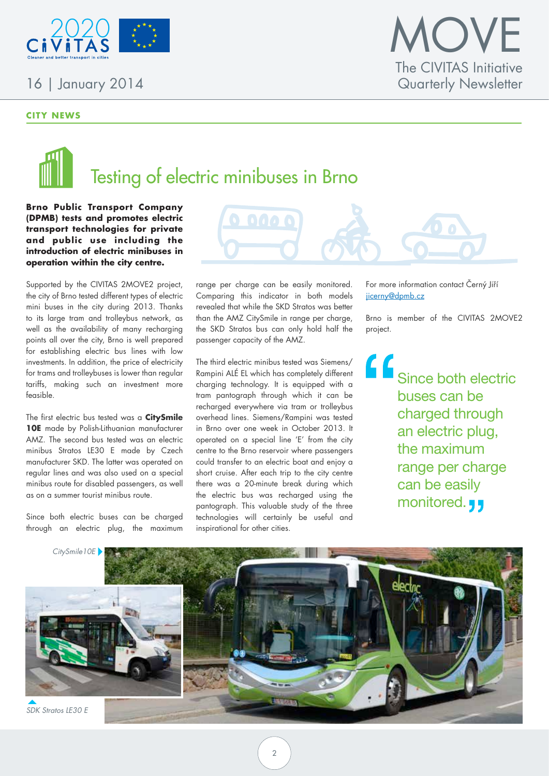

#### **CITY NEWS**

### **IOVE** The CIVITAS Initiative Quarterly Newsletter

# Testing of electric minibuses in Brno

**Brno Public Transport Company (DPMB) tests and promotes electric transport technologies for private**  and public use including the **introduction of electric minibuses in operation within the city centre.**

Supported by the CIVITAS 2MOVE2 project, the city of Brno tested different types of electric mini buses in the city during 2013. Thanks to its large tram and trolleybus network, as well as the availability of many recharging points all over the city, Brno is well prepared for establishing electric bus lines with low investments. In addition, the price of electricity for trams and trolleybuses is lower than regular tariffs, making such an investment more feasible.

The first electric bus tested was a **CitySmile 10E** made by Polish-Lithuanian manufacturer AMZ. The second bus tested was an electric minibus Stratos LE30 E made by Czech manufacturer SKD. The latter was operated on regular lines and was also used on a special minibus route for disabled passengers, as well as on a summer tourist minibus route.

Since both electric buses can be charged through an electric plug, the maximum range per charge can be easily monitored. Comparing this indicator in both models revealed that while the SKD Stratos was better than the AMZ CitySmile in range per charge, the SKD Stratos bus can only hold half the passenger capacity of the AMZ.

000

The third electric minibus tested was Siemens/ Rampini ALÉ EL which has completely different charging technology. It is equipped with a tram pantograph through which it can be recharged everywhere via tram or trolleybus overhead lines. Siemens/Rampini was tested in Brno over one week in October 2013. It operated on a special line 'E' from the city centre to the Brno reservoir where passengers could transfer to an electric boat and enjoy a short cruise. After each trip to the city centre there was a 20-minute break during which the electric bus was recharged using the pantograph. This valuable study of the three technologies will certainly be useful and inspirational for other cities.

For more information contact Černý Jiří jicerny@dpmb.cz

Brno is member of the CIVITAS 2MOVE2 project.

" Since both electric buses can be charged through an electric plug, the maximum range per charge can be easily monitored. **J** 

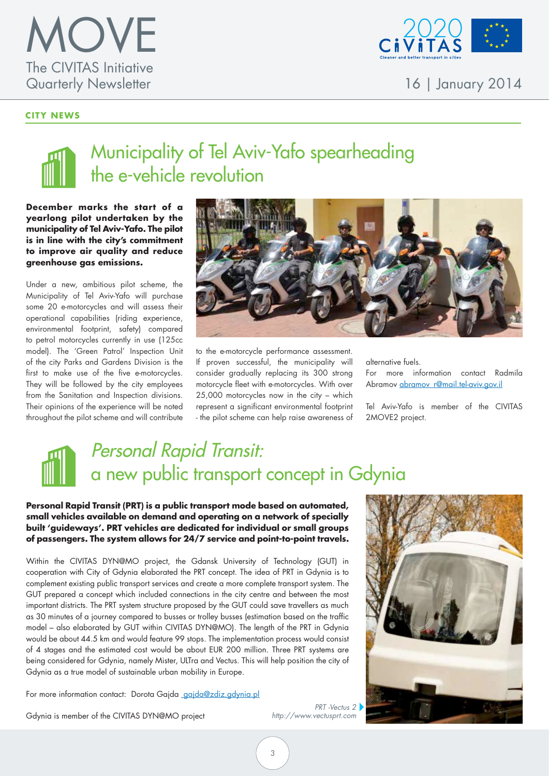

#### **CITY NEWS**



16 | January 2014

### Municipality of Tel Aviv-Yafo spearheading the e-vehicle revolution

**December marks the start of a yearlong pilot undertaken by the municipality of Tel Aviv-Yafo. The pilot is in line with the city's commitment to improve air quality and reduce greenhouse gas emissions.**

Under a new, ambitious pilot scheme, the Municipality of Tel Aviv-Yafo will purchase some 20 e-motorcycles and will assess their operational capabilities (riding experience, environmental footprint, safety) compared to petrol motorcycles currently in use (125cc model). The 'Green Patrol' Inspection Unit of the city Parks and Gardens Division is the first to make use of the five e-motorcycles. They will be followed by the city employees from the Sanitation and Inspection divisions. Their opinions of the experience will be noted throughout the pilot scheme and will contribute



to the e-motorcycle performance assessment. If proven successful, the municipality will consider gradually replacing its 300 strong motorcycle fleet with e-motorcycles. With over 25,000 motorcycles now in the city – which represent a significant environmental footprint - the pilot scheme can help raise awareness of

alternative fuels.

For more information contact Radmila Abramov abramov r@mail.tel-aviv.gov.il

Tel Aviv-Yafo is member of the CIVITAS 2MOVE2 project.

### Personal Rapid Transit: a new public transport concept in Gdynia

#### **Personal Rapid Transit (PRT) is a public transport mode based on automated, small vehicles available on demand and operating on a network of specially built 'guideways'. PRT vehicles are dedicated for individual or small groups of passengers. The system allows for 24/7 service and point-to-point travels.**

Within the CIVITAS DYN@MO project, the Gdansk University of Technology (GUT) in cooperation with City of Gdynia elaborated the PRT concept. The idea of PRT in Gdynia is to complement existing public transport services and create a more complete transport system. The GUT prepared a concept which included connections in the city centre and between the most important districts. The PRT system structure proposed by the GUT could save travellers as much as 30 minutes of a journey compared to busses or trolley busses (estimation based on the traffic model – also elaborated by GUT within CIVITAS DYN@MO). The length of the PRT in Gdynia would be about 44.5 km and would feature 99 stops. The implementation process would consist of 4 stages and the estimated cost would be about EUR 200 million. Three PRT systems are being considered for Gdynia, namely Mister, ULTra and Vectus. This will help position the city of Gdynia as a true model of sustainable urban mobility in Europe.

For more information contact: Dorota Gajda gajda@zdiz.gdynia.pl

Gdynia is member of the CIVITAS DYN@MO project

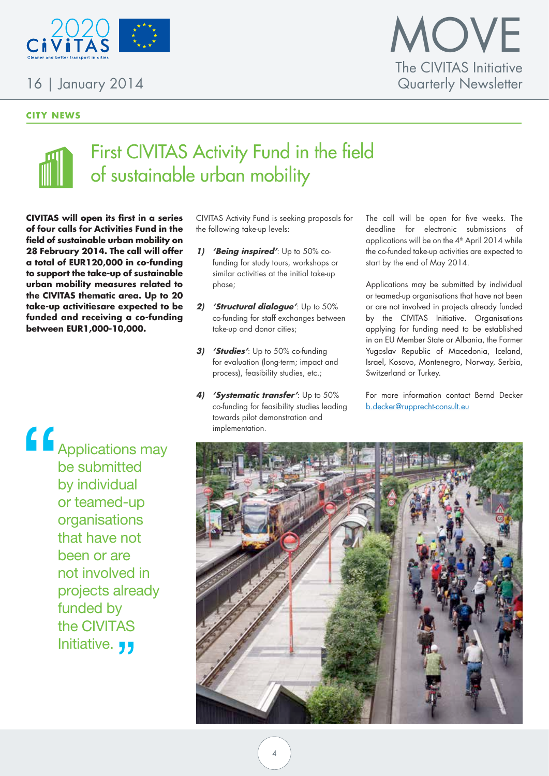

#### **CITY NEWS**



### First CIVITAS Activity Fund in the field of sustainable urban mobility

**CIVITAS will open its first in a series of four calls for Activities Fund in the field of sustainable urban mobility on 28 February 2014. The call will offer a total of EUR120,000 in co-funding to support the take-up of sustainable urban mobility measures related to the CIVITAS thematic area. Up to 20 take-up activitiesare expected to be funded and receiving a co-funding between EUR1,000-10,000.**

CIVITAS Activity Fund is seeking proposals for the following take-up levels:

- **1) 'Being inspired'**: Up to 50% cofunding for study tours, workshops or similar activities at the initial take-up phase;
- **2) 'Structural dialogue'**: Up to 50% co-funding for staff exchanges between take-up and donor cities;
- **3) 'Studies'**: Up to 50% co-funding for evaluation (long-term; impact and process), feasibility studies, etc.;
- **4) 'Systematic transfer'**: Up to 50% co-funding for feasibility studies leading towards pilot demonstration and implementation.

The call will be open for five weeks. The deadline for electronic submissions of applications will be on the  $4<sup>th</sup>$  April 2014 while the co-funded take-up activities are expected to start by the end of May 2014.

Applications may be submitted by individual or teamed-up organisations that have not been or are not involved in projects already funded by the CIVITAS Initiative. Organisations applying for funding need to be established in an EU Member State or Albania, the Former Yugoslav Republic of Macedonia, Iceland, Israel, Kosovo, Montenegro, Norway, Serbia, Switzerland or Turkey.

For more information contact Bernd Decker [b.decker@rupprecht-consult.eu](mailto:b.decker@rupprecht-consult.eu)

Applications may be submitted by individual or teamed-up organisations that have not been or are not involved in projects already funded by the CIVITAS Initiative. **19** 

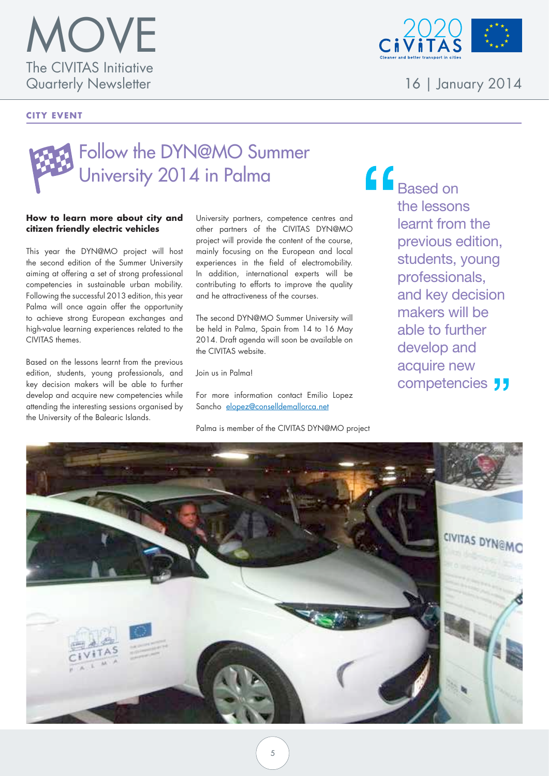

#### **CITY EVENT**



16 | January 2014

### Follow the DYN@MO Summer University 2014 in Palma

#### **How to learn more about city and citizen friendly electric vehicles**

This year the DYN@MO project will host the second edition of the Summer University aiming at offering a set of strong professional competencies in sustainable urban mobility. Following the successful 2013 edition, this year Palma will once again offer the opportunity to achieve strong European exchanges and high-value learning experiences related to the CIVITAS themes.

Based on the lessons learnt from the previous edition, students, young professionals, and key decision makers will be able to further develop and acquire new competencies while attending the interesting sessions organised by the University of the Balearic Islands.

University partners, competence centres and other partners of the CIVITAS DYN@MO project will provide the content of the course, mainly focusing on the European and local experiences in the field of electromobility. In addition, international experts will be contributing to efforts to improve the quality and he attractiveness of the courses.

The second DYN@MO Summer University will be held in Palma, Spain from 14 to 16 May 2014. Draft agenda will soon be available on the CIVITAS website.

Join us in Palma!

For more information contact Emilio Lopez Sancho elopez@conselldemallorca.net

Palma is member of the CIVITAS DYN@MO project

 $\bigcap$  Based on the lessons learnt from the previous edition, students, young professionals, and key decision makers will be able to further develop and acquire new competencies **JJ** 

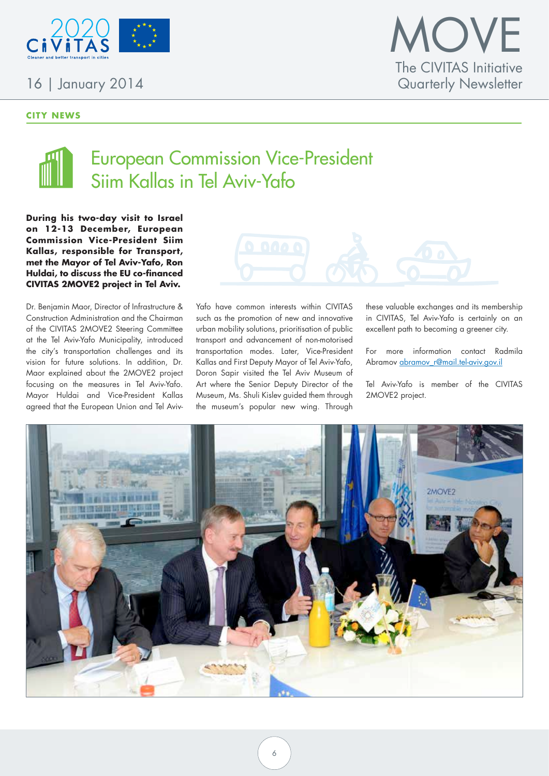

#### **CITY NEWS**





### European Commission Vice-President Siim Kallas in Tel Aviv-Yafo

**During his two-day visit to Israel on 12-13 December, European Commission Vice-President Siim Kallas, responsible for Transport, met the Mayor of Tel Aviv-Yafo, Ron Huldai, to discuss the EU co-financed CIVITAS 2MOVE2 project in Tel Aviv.** 

Dr. Benjamin Maor, Director of Infrastructure & Construction Administration and the Chairman of the CIVITAS 2MOVE2 Steering Committee at the Tel Aviv-Yafo Municipality, introduced the city's transportation challenges and its vision for future solutions. In addition, Dr. Maor explained about the 2MOVE2 project focusing on the measures in Tel Aviv-Yafo. Mayor Huldai and Vice-President Kallas agreed that the European Union and Tel Aviv-



Yafo have common interests within CIVITAS such as the promotion of new and innovative urban mobility solutions, prioritisation of public transport and advancement of non-motorised transportation modes. Later, Vice-President Kallas and First Deputy Mayor of Tel Aviv-Yafo, Doron Sapir visited the Tel Aviv Museum of Art where the Senior Deputy Director of the Museum, Ms. Shuli Kislev guided them through the museum's popular new wing. Through

these valuable exchanges and its membership in CIVITAS, Tel Aviv-Yafo is certainly on an excellent path to becoming a greener city.

For more information contact Radmila Abramov abramov r@mail.tel-aviv.gov.il

Tel Aviv-Yafo is member of the CIVITAS 2MOVE2 project.

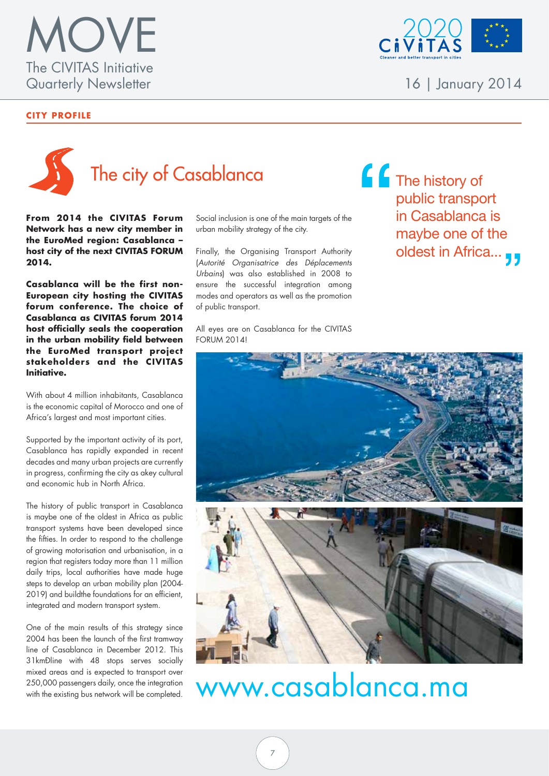

#### **CITY PROFILE**



**From 2014 the CIVITAS Forum Network has a new city member in the EuroMed region: Casablanca – host city of the next CIVITAS FORUM 2014.**

**Casablanca will be the first non-European city hosting the CIVITAS forum conference. The choice of Casablanca as CIVITAS forum 2014 host officially seals the cooperation in the urban mobility field between the EuroMed transport project stakeho lders and the C IV ITAS Initiative.**

With about 4 million inhabitants, Casablanca is the economic capital of Morocco and one of Africa's largest and most important cities.

Supported by the important activity of its port, Casablanca has rapidly expanded in recent decades and many urban projects are currently in progress, confirming the city as akey cultural and economic hub in North Africa.

The history of public transport in Casablanca is maybe one of the oldest in Africa as public transport systems have been developed since the fifties. In order to respond to the challenge of growing motorisation and urbanisation, in a region that registers today more than 11 million daily trips, local authorities have made huge steps to develop an urban mobility plan (2004- 2019) and buildthe foundations for an efficient, integrated and modern transport system.

One of the main results of this strategy since 2004 has been the launch of the first tramway line of Casablanca in December 2012. This 31km<sup>D</sup>line with 48 stops serves socially mixed areas and is expected to transport over 250,000 passengers daily, once the integration with the existing bus network will be completed. Social inclusion is one of the main targets of the urban mobility strategy of the city.

Finally, the Organising Transport Authority (*Autorité Organisatrice des Déplacements Urbains*) was also established in 2008 to ensure the successful integration among modes and operators as well as the promotion of public transport.

All eyes are on Casablanca for the CIVITAS FORUM 2014!





## www.casablanca.ma



16 | January 2014